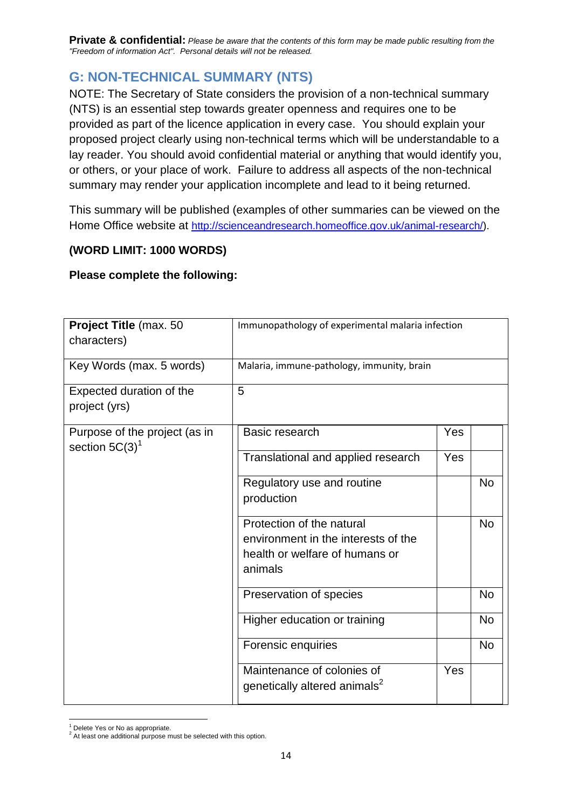**Private & confidential:** *Please be aware that the contents of this form may be made public resulting from the "Freedom of information Act". Personal details will not be released.*

## **G: NON-TECHNICAL SUMMARY (NTS)**

NOTE: The Secretary of State considers the provision of a non-technical summary (NTS) is an essential step towards greater openness and requires one to be provided as part of the licence application in every case. You should explain your proposed project clearly using non-technical terms which will be understandable to a lay reader. You should avoid confidential material or anything that would identify you, or others, or your place of work. Failure to address all aspects of the non-technical summary may render your application incomplete and lead to it being returned.

This summary will be published (examples of other summaries can be viewed on the Home Office website at [http://scienceandresearch.homeoffice.gov.uk/animal-research/\)](http://scienceandresearch.homeoffice.gov.uk/animal-research/).

## **(WORD LIMIT: 1000 WORDS)**

## **Please complete the following:**

| Project Title (max. 50                             | Immunopathology of experimental malaria infection                      |     |           |  |  |
|----------------------------------------------------|------------------------------------------------------------------------|-----|-----------|--|--|
| characters)                                        |                                                                        |     |           |  |  |
| Key Words (max. 5 words)                           | Malaria, immune-pathology, immunity, brain                             |     |           |  |  |
| Expected duration of the                           | $\overline{5}$                                                         |     |           |  |  |
| project (yrs)                                      |                                                                        |     |           |  |  |
| Purpose of the project (as in<br>section $5C(3)^1$ | Basic research                                                         | Yes |           |  |  |
|                                                    | Translational and applied research                                     | Yes |           |  |  |
|                                                    | Regulatory use and routine                                             |     | <b>No</b> |  |  |
|                                                    | production                                                             |     |           |  |  |
|                                                    | Protection of the natural                                              |     | <b>No</b> |  |  |
|                                                    | environment in the interests of the<br>health or welfare of humans or  |     |           |  |  |
|                                                    | animals                                                                |     |           |  |  |
|                                                    |                                                                        |     |           |  |  |
|                                                    | Preservation of species                                                |     | <b>No</b> |  |  |
|                                                    | Higher education or training                                           |     | <b>No</b> |  |  |
|                                                    | Forensic enquiries                                                     |     | <b>No</b> |  |  |
|                                                    | Maintenance of colonies of<br>genetically altered animals <sup>2</sup> | Yes |           |  |  |

 $\overline{a}$ <sup>1</sup> Delete Yes or No as appropriate.

 $2$  At least one additional purpose must be selected with this option.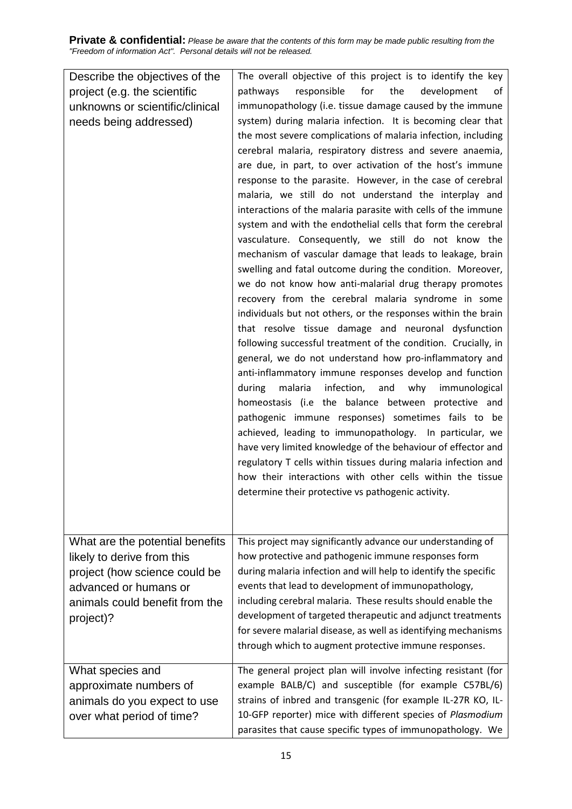**Private & confidential:** *Please be aware that the contents of this form may be made public resulting from the "Freedom of information Act". Personal details will not be released.*

| Describe the objectives of the                                                                                                                                         | The overall objective of this project is to identify the key                                                                                                                                                                                                                                                                                                                                                                                                                                                                                                                                                                                                                                                                                                                                                                                                                                                                                                                                                                                                                                                                                                                                                                                                                                                                                                                                                                                                                                                                                                                                                                  |
|------------------------------------------------------------------------------------------------------------------------------------------------------------------------|-------------------------------------------------------------------------------------------------------------------------------------------------------------------------------------------------------------------------------------------------------------------------------------------------------------------------------------------------------------------------------------------------------------------------------------------------------------------------------------------------------------------------------------------------------------------------------------------------------------------------------------------------------------------------------------------------------------------------------------------------------------------------------------------------------------------------------------------------------------------------------------------------------------------------------------------------------------------------------------------------------------------------------------------------------------------------------------------------------------------------------------------------------------------------------------------------------------------------------------------------------------------------------------------------------------------------------------------------------------------------------------------------------------------------------------------------------------------------------------------------------------------------------------------------------------------------------------------------------------------------------|
| project (e.g. the scientific                                                                                                                                           | for<br>the<br>pathways<br>responsible<br>development<br>οf                                                                                                                                                                                                                                                                                                                                                                                                                                                                                                                                                                                                                                                                                                                                                                                                                                                                                                                                                                                                                                                                                                                                                                                                                                                                                                                                                                                                                                                                                                                                                                    |
| unknowns or scientific/clinical                                                                                                                                        | immunopathology (i.e. tissue damage caused by the immune                                                                                                                                                                                                                                                                                                                                                                                                                                                                                                                                                                                                                                                                                                                                                                                                                                                                                                                                                                                                                                                                                                                                                                                                                                                                                                                                                                                                                                                                                                                                                                      |
| needs being addressed)                                                                                                                                                 | system) during malaria infection. It is becoming clear that<br>the most severe complications of malaria infection, including<br>cerebral malaria, respiratory distress and severe anaemia,<br>are due, in part, to over activation of the host's immune<br>response to the parasite. However, in the case of cerebral<br>malaria, we still do not understand the interplay and<br>interactions of the malaria parasite with cells of the immune<br>system and with the endothelial cells that form the cerebral<br>vasculature. Consequently, we still do not know the<br>mechanism of vascular damage that leads to leakage, brain<br>swelling and fatal outcome during the condition. Moreover,<br>we do not know how anti-malarial drug therapy promotes<br>recovery from the cerebral malaria syndrome in some<br>individuals but not others, or the responses within the brain<br>that resolve tissue damage and neuronal dysfunction<br>following successful treatment of the condition. Crucially, in<br>general, we do not understand how pro-inflammatory and<br>anti-inflammatory immune responses develop and function<br>malaria<br>infection,<br>during<br>and<br>why immunological<br>homeostasis (i.e the balance between protective and<br>pathogenic immune responses) sometimes fails to be<br>achieved, leading to immunopathology. In particular, we<br>have very limited knowledge of the behaviour of effector and<br>regulatory T cells within tissues during malaria infection and<br>how their interactions with other cells within the tissue<br>determine their protective vs pathogenic activity. |
| What are the potential benefits<br>likely to derive from this<br>project (how science could be<br>advanced or humans or<br>animals could benefit from the<br>project)? | This project may significantly advance our understanding of<br>how protective and pathogenic immune responses form<br>during malaria infection and will help to identify the specific<br>events that lead to development of immunopathology,<br>including cerebral malaria. These results should enable the<br>development of targeted therapeutic and adjunct treatments                                                                                                                                                                                                                                                                                                                                                                                                                                                                                                                                                                                                                                                                                                                                                                                                                                                                                                                                                                                                                                                                                                                                                                                                                                                     |
|                                                                                                                                                                        | for severe malarial disease, as well as identifying mechanisms<br>through which to augment protective immune responses.                                                                                                                                                                                                                                                                                                                                                                                                                                                                                                                                                                                                                                                                                                                                                                                                                                                                                                                                                                                                                                                                                                                                                                                                                                                                                                                                                                                                                                                                                                       |
| What species and<br>approximate numbers of<br>animals do you expect to use<br>over what period of time?                                                                | The general project plan will involve infecting resistant (for<br>example BALB/C) and susceptible (for example C57BL/6)<br>strains of inbred and transgenic (for example IL-27R KO, IL-<br>10-GFP reporter) mice with different species of Plasmodium<br>parasites that cause specific types of immunopathology. We                                                                                                                                                                                                                                                                                                                                                                                                                                                                                                                                                                                                                                                                                                                                                                                                                                                                                                                                                                                                                                                                                                                                                                                                                                                                                                           |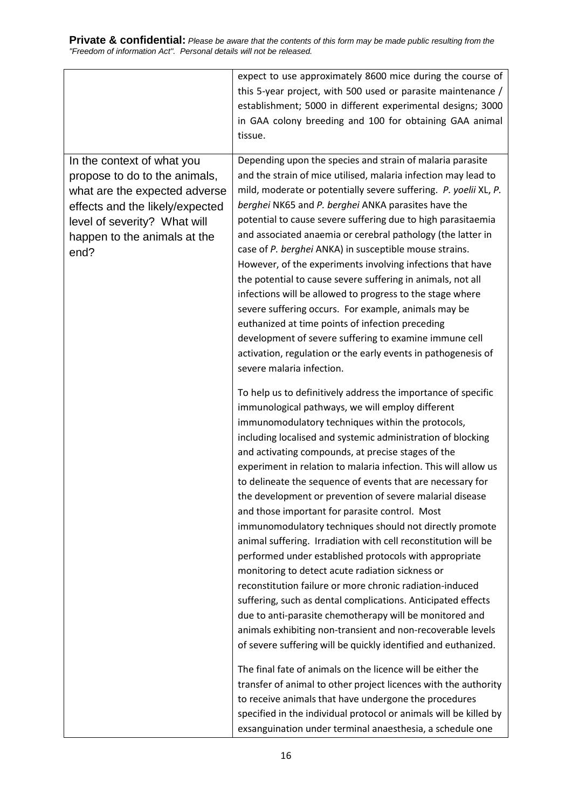|                                 | expect to use approximately 8600 mice during the course of        |  |  |
|---------------------------------|-------------------------------------------------------------------|--|--|
|                                 | this 5-year project, with 500 used or parasite maintenance /      |  |  |
|                                 | establishment; 5000 in different experimental designs; 3000       |  |  |
|                                 | in GAA colony breeding and 100 for obtaining GAA animal           |  |  |
|                                 | tissue.                                                           |  |  |
|                                 |                                                                   |  |  |
| In the context of what you      | Depending upon the species and strain of malaria parasite         |  |  |
| propose to do to the animals,   | and the strain of mice utilised, malaria infection may lead to    |  |  |
| what are the expected adverse   | mild, moderate or potentially severe suffering. P. yoelii XL, P.  |  |  |
| effects and the likely/expected | berghei NK65 and P. berghei ANKA parasites have the               |  |  |
| level of severity? What will    | potential to cause severe suffering due to high parasitaemia      |  |  |
| happen to the animals at the    | and associated anaemia or cerebral pathology (the latter in       |  |  |
| end?                            | case of P. berghei ANKA) in susceptible mouse strains.            |  |  |
|                                 | However, of the experiments involving infections that have        |  |  |
|                                 | the potential to cause severe suffering in animals, not all       |  |  |
|                                 | infections will be allowed to progress to the stage where         |  |  |
|                                 | severe suffering occurs. For example, animals may be              |  |  |
|                                 | euthanized at time points of infection preceding                  |  |  |
|                                 | development of severe suffering to examine immune cell            |  |  |
|                                 | activation, regulation or the early events in pathogenesis of     |  |  |
|                                 | severe malaria infection.                                         |  |  |
|                                 | To help us to definitively address the importance of specific     |  |  |
|                                 | immunological pathways, we will employ different                  |  |  |
|                                 | immunomodulatory techniques within the protocols,                 |  |  |
|                                 | including localised and systemic administration of blocking       |  |  |
|                                 | and activating compounds, at precise stages of the                |  |  |
|                                 | experiment in relation to malaria infection. This will allow us   |  |  |
|                                 | to delineate the sequence of events that are necessary for        |  |  |
|                                 | the development or prevention of severe malarial disease          |  |  |
|                                 | and those important for parasite control. Most                    |  |  |
|                                 | immunomodulatory techniques should not directly promote           |  |  |
|                                 | animal suffering. Irradiation with cell reconstitution will be    |  |  |
|                                 | performed under established protocols with appropriate            |  |  |
|                                 | monitoring to detect acute radiation sickness or                  |  |  |
|                                 | reconstitution failure or more chronic radiation-induced          |  |  |
|                                 | suffering, such as dental complications. Anticipated effects      |  |  |
|                                 | due to anti-parasite chemotherapy will be monitored and           |  |  |
|                                 | animals exhibiting non-transient and non-recoverable levels       |  |  |
|                                 | of severe suffering will be quickly identified and euthanized.    |  |  |
|                                 | The final fate of animals on the licence will be either the       |  |  |
|                                 | transfer of animal to other project licences with the authority   |  |  |
|                                 | to receive animals that have undergone the procedures             |  |  |
|                                 | specified in the individual protocol or animals will be killed by |  |  |
|                                 | exsanguination under terminal anaesthesia, a schedule one         |  |  |